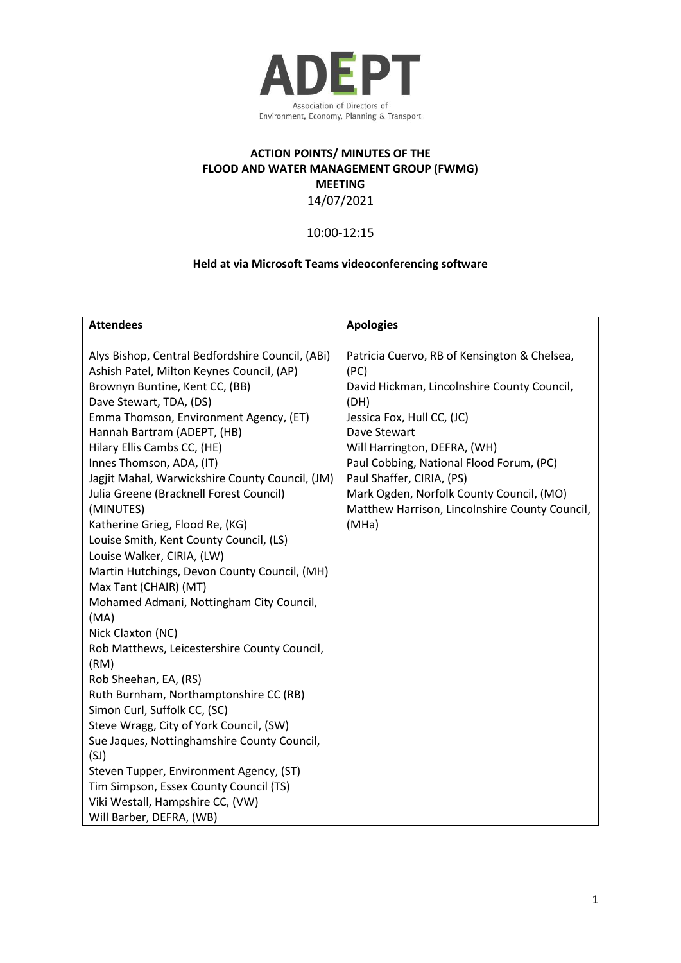

## **ACTION POINTS/ MINUTES OF THE FLOOD AND WATER MANAGEMENT GROUP (FWMG) MEETING** 14/07/2021

# 10:00-12:15

## **Held at via Microsoft Teams videoconferencing software**

| <b>Attendees</b>                                 | <b>Apologies</b>                               |
|--------------------------------------------------|------------------------------------------------|
|                                                  |                                                |
| Alys Bishop, Central Bedfordshire Council, (ABi) | Patricia Cuervo, RB of Kensington & Chelsea,   |
| Ashish Patel, Milton Keynes Council, (AP)        | (PC)                                           |
| Brownyn Buntine, Kent CC, (BB)                   | David Hickman, Lincolnshire County Council,    |
| Dave Stewart, TDA, (DS)                          | (DH)                                           |
| Emma Thomson, Environment Agency, (ET)           | Jessica Fox, Hull CC, (JC)                     |
| Hannah Bartram (ADEPT, (HB)                      | Dave Stewart                                   |
| Hilary Ellis Cambs CC, (HE)                      | Will Harrington, DEFRA, (WH)                   |
| Innes Thomson, ADA, (IT)                         | Paul Cobbing, National Flood Forum, (PC)       |
| Jagjit Mahal, Warwickshire County Council, (JM)  | Paul Shaffer, CIRIA, (PS)                      |
| Julia Greene (Bracknell Forest Council)          | Mark Ogden, Norfolk County Council, (MO)       |
| (MINUTES)                                        | Matthew Harrison, Lincolnshire County Council, |
| Katherine Grieg, Flood Re, (KG)                  | (MHa)                                          |
| Louise Smith, Kent County Council, (LS)          |                                                |
| Louise Walker, CIRIA, (LW)                       |                                                |
| Martin Hutchings, Devon County Council, (MH)     |                                                |
| Max Tant (CHAIR) (MT)                            |                                                |
| Mohamed Admani, Nottingham City Council,         |                                                |
| (MA)                                             |                                                |
| Nick Claxton (NC)                                |                                                |
| Rob Matthews, Leicestershire County Council,     |                                                |
| (RM)                                             |                                                |
| Rob Sheehan, EA, (RS)                            |                                                |
| Ruth Burnham, Northamptonshire CC (RB)           |                                                |
| Simon Curl, Suffolk CC, (SC)                     |                                                |
| Steve Wragg, City of York Council, (SW)          |                                                |
| Sue Jaques, Nottinghamshire County Council,      |                                                |
| (SJ)                                             |                                                |
| Steven Tupper, Environment Agency, (ST)          |                                                |
| Tim Simpson, Essex County Council (TS)           |                                                |
| Viki Westall, Hampshire CC, (VW)                 |                                                |
| Will Barber, DEFRA, (WB)                         |                                                |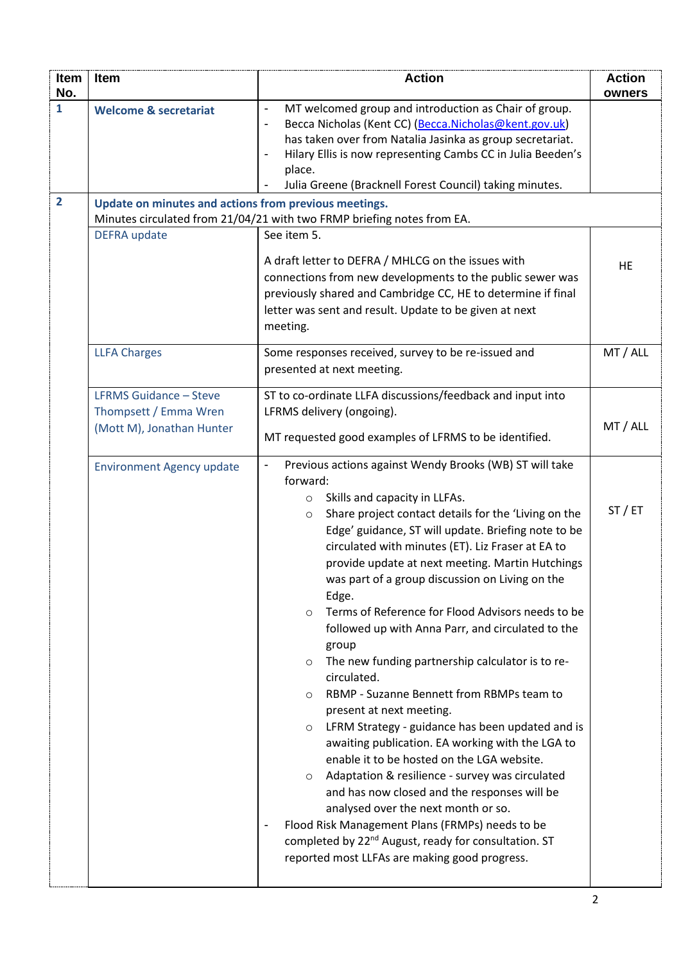| Item<br>No.    | <b>Item</b>                                                                         | <b>Action</b>                                                                                                                                                                                                                                                                                                                                                                                                                                                                                                                                                                                                                                                                                                                                                                                                                                                                                                                                                                                                                                                                                                                                                                                                                                | <b>Action</b><br>owners |
|----------------|-------------------------------------------------------------------------------------|----------------------------------------------------------------------------------------------------------------------------------------------------------------------------------------------------------------------------------------------------------------------------------------------------------------------------------------------------------------------------------------------------------------------------------------------------------------------------------------------------------------------------------------------------------------------------------------------------------------------------------------------------------------------------------------------------------------------------------------------------------------------------------------------------------------------------------------------------------------------------------------------------------------------------------------------------------------------------------------------------------------------------------------------------------------------------------------------------------------------------------------------------------------------------------------------------------------------------------------------|-------------------------|
| $\mathbf{1}$   | <b>Welcome &amp; secretariat</b>                                                    | MT welcomed group and introduction as Chair of group.<br>$\overline{\phantom{a}}$<br>Becca Nicholas (Kent CC) (Becca.Nicholas@kent.gov.uk)<br>$\overline{\phantom{a}}$<br>has taken over from Natalia Jasinka as group secretariat.<br>Hilary Ellis is now representing Cambs CC in Julia Beeden's<br>$\overline{a}$<br>place.<br>Julia Greene (Bracknell Forest Council) taking minutes.                                                                                                                                                                                                                                                                                                                                                                                                                                                                                                                                                                                                                                                                                                                                                                                                                                                    |                         |
| $\overline{2}$ | Update on minutes and actions from previous meetings.                               | Minutes circulated from 21/04/21 with two FRMP briefing notes from EA.                                                                                                                                                                                                                                                                                                                                                                                                                                                                                                                                                                                                                                                                                                                                                                                                                                                                                                                                                                                                                                                                                                                                                                       |                         |
|                | <b>DEFRA</b> update                                                                 | See item 5.                                                                                                                                                                                                                                                                                                                                                                                                                                                                                                                                                                                                                                                                                                                                                                                                                                                                                                                                                                                                                                                                                                                                                                                                                                  |                         |
|                |                                                                                     | A draft letter to DEFRA / MHLCG on the issues with<br>connections from new developments to the public sewer was<br>previously shared and Cambridge CC, HE to determine if final<br>letter was sent and result. Update to be given at next<br>meeting.                                                                                                                                                                                                                                                                                                                                                                                                                                                                                                                                                                                                                                                                                                                                                                                                                                                                                                                                                                                        | HE                      |
|                | <b>LLFA Charges</b>                                                                 | Some responses received, survey to be re-issued and<br>presented at next meeting.                                                                                                                                                                                                                                                                                                                                                                                                                                                                                                                                                                                                                                                                                                                                                                                                                                                                                                                                                                                                                                                                                                                                                            | MT / ALL                |
|                | <b>LFRMS Guidance - Steve</b><br>Thompsett / Emma Wren<br>(Mott M), Jonathan Hunter | ST to co-ordinate LLFA discussions/feedback and input into<br>LFRMS delivery (ongoing).<br>MT requested good examples of LFRMS to be identified.                                                                                                                                                                                                                                                                                                                                                                                                                                                                                                                                                                                                                                                                                                                                                                                                                                                                                                                                                                                                                                                                                             | MT / ALL                |
|                | <b>Environment Agency update</b>                                                    | Previous actions against Wendy Brooks (WB) ST will take<br>$\qquad \qquad \blacksquare$<br>forward:<br>Skills and capacity in LLFAs.<br>$\circ$<br>Share project contact details for the 'Living on the<br>$\circ$<br>Edge' guidance, ST will update. Briefing note to be<br>circulated with minutes (ET). Liz Fraser at EA to<br>provide update at next meeting. Martin Hutchings<br>was part of a group discussion on Living on the<br>Edge.<br>Terms of Reference for Flood Advisors needs to be<br>$\circ$<br>followed up with Anna Parr, and circulated to the<br>group<br>The new funding partnership calculator is to re-<br>$\circ$<br>circulated.<br>RBMP - Suzanne Bennett from RBMPs team to<br>$\circ$<br>present at next meeting.<br>LFRM Strategy - guidance has been updated and is<br>$\circ$<br>awaiting publication. EA working with the LGA to<br>enable it to be hosted on the LGA website.<br>Adaptation & resilience - survey was circulated<br>$\circ$<br>and has now closed and the responses will be<br>analysed over the next month or so.<br>Flood Risk Management Plans (FRMPs) needs to be<br>completed by 22 <sup>nd</sup> August, ready for consultation. ST<br>reported most LLFAs are making good progress. | ST/ET                   |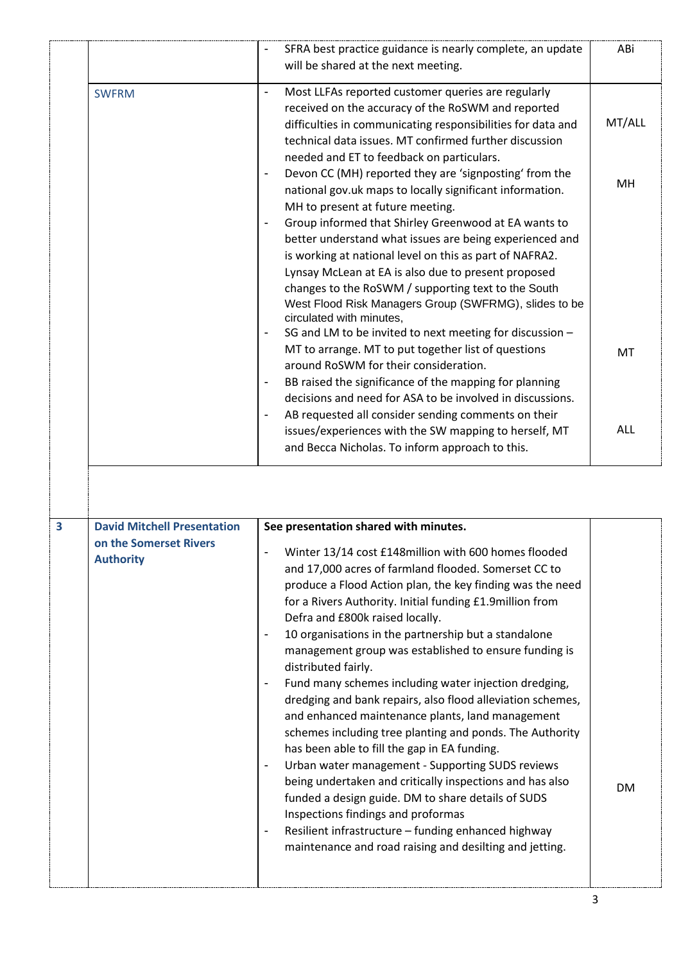|                         |                                                                                  | SFRA best practice guidance is nearly complete, an update<br>will be shared at the next meeting.                                                                                                                                                                                                                                                                                                                                                                                                                                                                                                                                                                                                                                                                                                                                                                                                                                                                                                                                                                                                                                  | ABi    |
|-------------------------|----------------------------------------------------------------------------------|-----------------------------------------------------------------------------------------------------------------------------------------------------------------------------------------------------------------------------------------------------------------------------------------------------------------------------------------------------------------------------------------------------------------------------------------------------------------------------------------------------------------------------------------------------------------------------------------------------------------------------------------------------------------------------------------------------------------------------------------------------------------------------------------------------------------------------------------------------------------------------------------------------------------------------------------------------------------------------------------------------------------------------------------------------------------------------------------------------------------------------------|--------|
|                         | <b>SWFRM</b>                                                                     | Most LLFAs reported customer queries are regularly<br>$\overline{\phantom{a}}$<br>received on the accuracy of the RoSWM and reported<br>difficulties in communicating responsibilities for data and<br>technical data issues. MT confirmed further discussion                                                                                                                                                                                                                                                                                                                                                                                                                                                                                                                                                                                                                                                                                                                                                                                                                                                                     | MT/ALL |
|                         |                                                                                  | needed and ET to feedback on particulars.<br>Devon CC (MH) reported they are 'signposting' from the<br>national gov.uk maps to locally significant information.<br>MH to present at future meeting.<br>Group informed that Shirley Greenwood at EA wants to<br>better understand what issues are being experienced and<br>is working at national level on this as part of NAFRA2.<br>Lynsay McLean at EA is also due to present proposed<br>changes to the RoSWM / supporting text to the South<br>West Flood Risk Managers Group (SWFRMG), slides to be                                                                                                                                                                                                                                                                                                                                                                                                                                                                                                                                                                          | MH     |
|                         |                                                                                  | circulated with minutes,<br>SG and LM to be invited to next meeting for discussion -<br>MT to arrange. MT to put together list of questions<br>around RoSWM for their consideration.<br>BB raised the significance of the mapping for planning<br>decisions and need for ASA to be involved in discussions.                                                                                                                                                                                                                                                                                                                                                                                                                                                                                                                                                                                                                                                                                                                                                                                                                       | MT     |
|                         |                                                                                  | AB requested all consider sending comments on their<br>issues/experiences with the SW mapping to herself, MT<br>and Becca Nicholas. To inform approach to this.                                                                                                                                                                                                                                                                                                                                                                                                                                                                                                                                                                                                                                                                                                                                                                                                                                                                                                                                                                   | ALL    |
|                         |                                                                                  |                                                                                                                                                                                                                                                                                                                                                                                                                                                                                                                                                                                                                                                                                                                                                                                                                                                                                                                                                                                                                                                                                                                                   |        |
| $\overline{\mathbf{3}}$ | <b>David Mitchell Presentation</b><br>on the Somerset Rivers<br><b>Authority</b> | See presentation shared with minutes.<br>Winter 13/14 cost £148million with 600 homes flooded<br>and 17,000 acres of farmland flooded. Somerset CC to<br>produce a Flood Action plan, the key finding was the need<br>for a Rivers Authority. Initial funding £1.9million from<br>Defra and £800k raised locally.<br>10 organisations in the partnership but a standalone<br>-<br>management group was established to ensure funding is<br>distributed fairly.<br>Fund many schemes including water injection dredging,<br>$\overline{\phantom{a}}$<br>dredging and bank repairs, also flood alleviation schemes,<br>and enhanced maintenance plants, land management<br>schemes including tree planting and ponds. The Authority<br>has been able to fill the gap in EA funding.<br>Urban water management - Supporting SUDS reviews<br>$\blacksquare$<br>being undertaken and critically inspections and has also<br>funded a design guide. DM to share details of SUDS<br>Inspections findings and proformas<br>Resilient infrastructure - funding enhanced highway<br>maintenance and road raising and desilting and jetting. | DM     |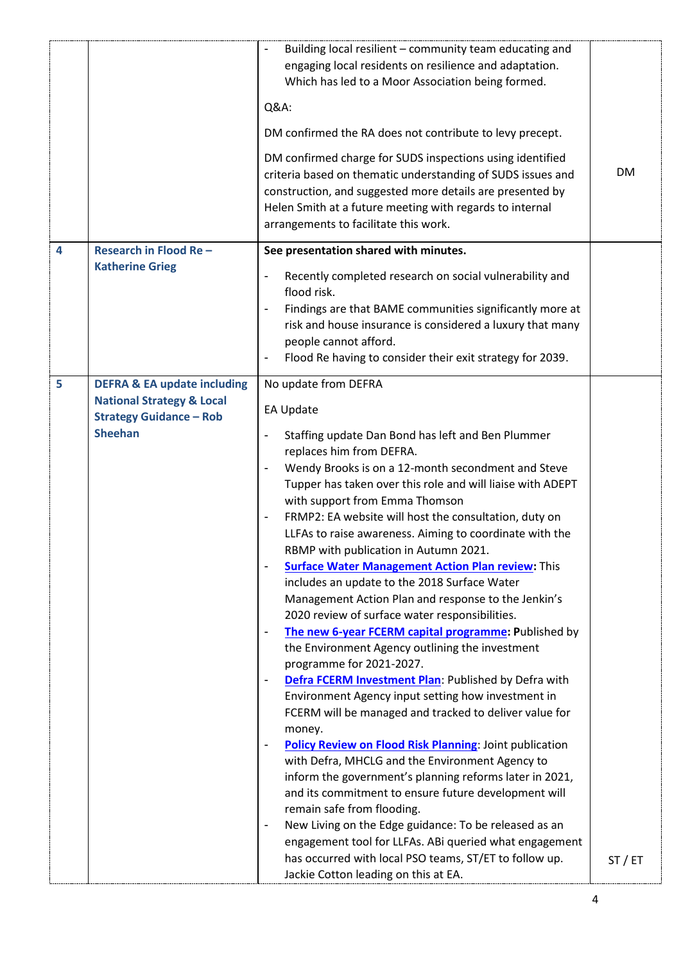|                |                                                                                          | Building local resilient - community team educating and<br>$\qquad \qquad \blacksquare$<br>engaging local residents on resilience and adaptation.<br>Which has led to a Moor Association being formed.<br>Q&A:<br>DM confirmed the RA does not contribute to levy precept.<br>DM confirmed charge for SUDS inspections using identified<br>criteria based on thematic understanding of SUDS issues and<br>construction, and suggested more details are presented by<br>Helen Smith at a future meeting with regards to internal<br>arrangements to facilitate this work. | DM    |
|----------------|------------------------------------------------------------------------------------------|--------------------------------------------------------------------------------------------------------------------------------------------------------------------------------------------------------------------------------------------------------------------------------------------------------------------------------------------------------------------------------------------------------------------------------------------------------------------------------------------------------------------------------------------------------------------------|-------|
| $\overline{4}$ | Research in Flood Re-                                                                    | See presentation shared with minutes.                                                                                                                                                                                                                                                                                                                                                                                                                                                                                                                                    |       |
|                | <b>Katherine Grieg</b>                                                                   | Recently completed research on social vulnerability and<br>-<br>flood risk.<br>Findings are that BAME communities significantly more at<br>$\overline{\phantom{0}}$<br>risk and house insurance is considered a luxury that many<br>people cannot afford.<br>Flood Re having to consider their exit strategy for 2039.<br>-                                                                                                                                                                                                                                              |       |
| 5              | <b>DEFRA &amp; EA update including</b>                                                   | No update from DEFRA                                                                                                                                                                                                                                                                                                                                                                                                                                                                                                                                                     |       |
|                | <b>National Strategy &amp; Local</b><br><b>Strategy Guidance - Rob</b><br><b>Sheehan</b> | <b>EA Update</b><br>Staffing update Dan Bond has left and Ben Plummer                                                                                                                                                                                                                                                                                                                                                                                                                                                                                                    |       |
|                |                                                                                          | replaces him from DEFRA.                                                                                                                                                                                                                                                                                                                                                                                                                                                                                                                                                 |       |
|                |                                                                                          | Wendy Brooks is on a 12-month secondment and Steve<br>$\overline{\phantom{a}}$<br>Tupper has taken over this role and will liaise with ADEPT<br>with support from Emma Thomson                                                                                                                                                                                                                                                                                                                                                                                           |       |
|                |                                                                                          | FRMP2: EA website will host the consultation, duty on<br>LLFAs to raise awareness. Aiming to coordinate with the<br>RBMP with publication in Autumn 2021.                                                                                                                                                                                                                                                                                                                                                                                                                |       |
|                |                                                                                          | <b>Surface Water Management Action Plan review: This</b><br>includes an update to the 2018 Surface Water<br>Management Action Plan and response to the Jenkin's<br>2020 review of surface water responsibilities.                                                                                                                                                                                                                                                                                                                                                        |       |
|                |                                                                                          | The new 6-year FCERM capital programme: Published by<br>$\qquad \qquad \blacksquare$<br>the Environment Agency outlining the investment<br>programme for 2021-2027.                                                                                                                                                                                                                                                                                                                                                                                                      |       |
|                |                                                                                          | Defra FCERM Investment Plan: Published by Defra with<br>-<br>Environment Agency input setting how investment in<br>FCERM will be managed and tracked to deliver value for<br>money.                                                                                                                                                                                                                                                                                                                                                                                      |       |
|                |                                                                                          | <b>Policy Review on Flood Risk Planning: Joint publication</b><br>with Defra, MHCLG and the Environment Agency to<br>inform the government's planning reforms later in 2021,<br>and its commitment to ensure future development will<br>remain safe from flooding.<br>New Living on the Edge guidance: To be released as an<br>$\qquad \qquad \blacksquare$                                                                                                                                                                                                              |       |
|                |                                                                                          | engagement tool for LLFAs. ABi queried what engagement<br>has occurred with local PSO teams, ST/ET to follow up.<br>Jackie Cotton leading on this at EA.                                                                                                                                                                                                                                                                                                                                                                                                                 | ST/ET |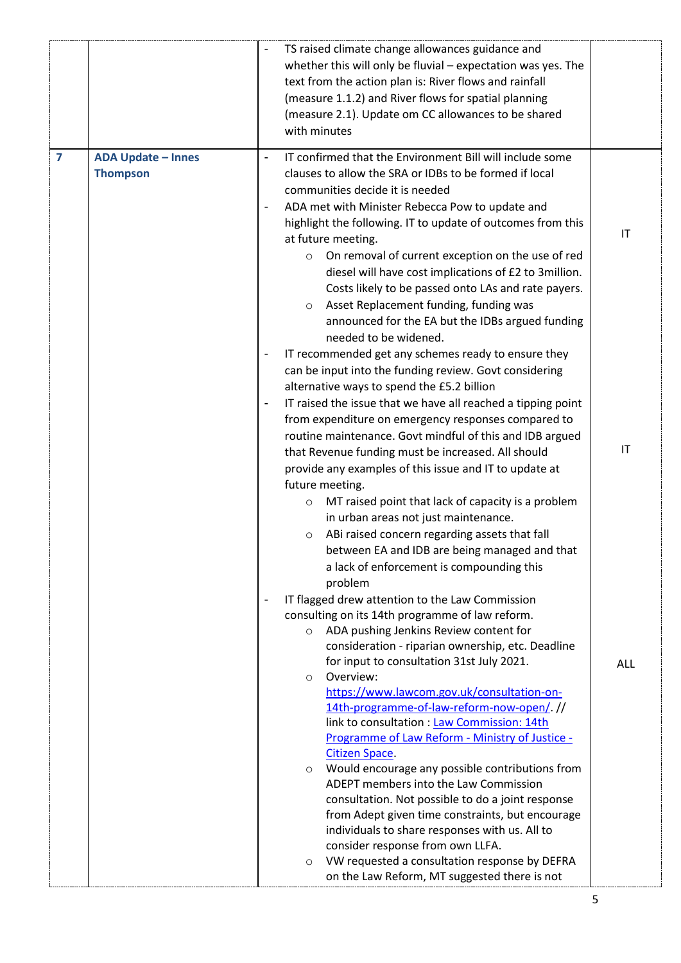|                         |                           |                          | TS raised climate change allowances guidance and<br>whether this will only be fluvial - expectation was yes. The |            |
|-------------------------|---------------------------|--------------------------|------------------------------------------------------------------------------------------------------------------|------------|
|                         |                           |                          | text from the action plan is: River flows and rainfall                                                           |            |
|                         |                           |                          | (measure 1.1.2) and River flows for spatial planning                                                             |            |
|                         |                           |                          | (measure 2.1). Update om CC allowances to be shared                                                              |            |
|                         |                           |                          | with minutes                                                                                                     |            |
| $\overline{\mathbf{z}}$ | <b>ADA Update - Innes</b> |                          | IT confirmed that the Environment Bill will include some                                                         |            |
|                         | <b>Thompson</b>           |                          | clauses to allow the SRA or IDBs to be formed if local                                                           |            |
|                         |                           |                          | communities decide it is needed                                                                                  |            |
|                         |                           |                          | ADA met with Minister Rebecca Pow to update and                                                                  |            |
|                         |                           |                          | highlight the following. IT to update of outcomes from this                                                      | IT         |
|                         |                           |                          | at future meeting.                                                                                               |            |
|                         |                           |                          | On removal of current exception on the use of red<br>$\circ$                                                     |            |
|                         |                           |                          | diesel will have cost implications of £2 to 3million.<br>Costs likely to be passed onto LAs and rate payers.     |            |
|                         |                           |                          | Asset Replacement funding, funding was<br>$\circ$                                                                |            |
|                         |                           |                          | announced for the EA but the IDBs argued funding                                                                 |            |
|                         |                           |                          | needed to be widened.                                                                                            |            |
|                         |                           | $\overline{\phantom{a}}$ | IT recommended get any schemes ready to ensure they                                                              |            |
|                         |                           |                          | can be input into the funding review. Govt considering                                                           |            |
|                         |                           |                          | alternative ways to spend the £5.2 billion                                                                       |            |
|                         |                           | $\overline{\phantom{a}}$ | IT raised the issue that we have all reached a tipping point                                                     |            |
|                         |                           |                          | from expenditure on emergency responses compared to                                                              |            |
|                         |                           |                          | routine maintenance. Govt mindful of this and IDB argued                                                         |            |
|                         |                           |                          | that Revenue funding must be increased. All should                                                               | IT         |
|                         |                           |                          | provide any examples of this issue and IT to update at                                                           |            |
|                         |                           |                          | future meeting.                                                                                                  |            |
|                         |                           |                          | MT raised point that lack of capacity is a problem<br>$\circ$                                                    |            |
|                         |                           |                          | in urban areas not just maintenance.                                                                             |            |
|                         |                           |                          | ABi raised concern regarding assets that fall<br>$\circ$                                                         |            |
|                         |                           |                          | between EA and IDB are being managed and that                                                                    |            |
|                         |                           |                          | a lack of enforcement is compounding this                                                                        |            |
|                         |                           |                          | problem<br>IT flagged drew attention to the Law Commission                                                       |            |
|                         |                           |                          | consulting on its 14th programme of law reform.                                                                  |            |
|                         |                           |                          | ADA pushing Jenkins Review content for<br>$\circ$                                                                |            |
|                         |                           |                          | consideration - riparian ownership, etc. Deadline                                                                |            |
|                         |                           |                          | for input to consultation 31st July 2021.                                                                        | <b>ALL</b> |
|                         |                           |                          | Overview:<br>$\circ$                                                                                             |            |
|                         |                           |                          | https://www.lawcom.gov.uk/consultation-on-                                                                       |            |
|                         |                           |                          | 14th-programme-of-law-reform-now-open/. //                                                                       |            |
|                         |                           |                          | link to consultation : Law Commission: 14th<br>Programme of Law Reform - Ministry of Justice -                   |            |
|                         |                           |                          | <b>Citizen Space.</b>                                                                                            |            |
|                         |                           |                          | Would encourage any possible contributions from<br>$\circ$                                                       |            |
|                         |                           |                          | ADEPT members into the Law Commission                                                                            |            |
|                         |                           |                          | consultation. Not possible to do a joint response                                                                |            |
|                         |                           |                          | from Adept given time constraints, but encourage                                                                 |            |
|                         |                           |                          | individuals to share responses with us. All to                                                                   |            |
|                         |                           |                          | consider response from own LLFA.                                                                                 |            |
|                         |                           |                          | VW requested a consultation response by DEFRA<br>$\circ$<br>on the Law Reform, MT suggested there is not         |            |
|                         |                           |                          |                                                                                                                  |            |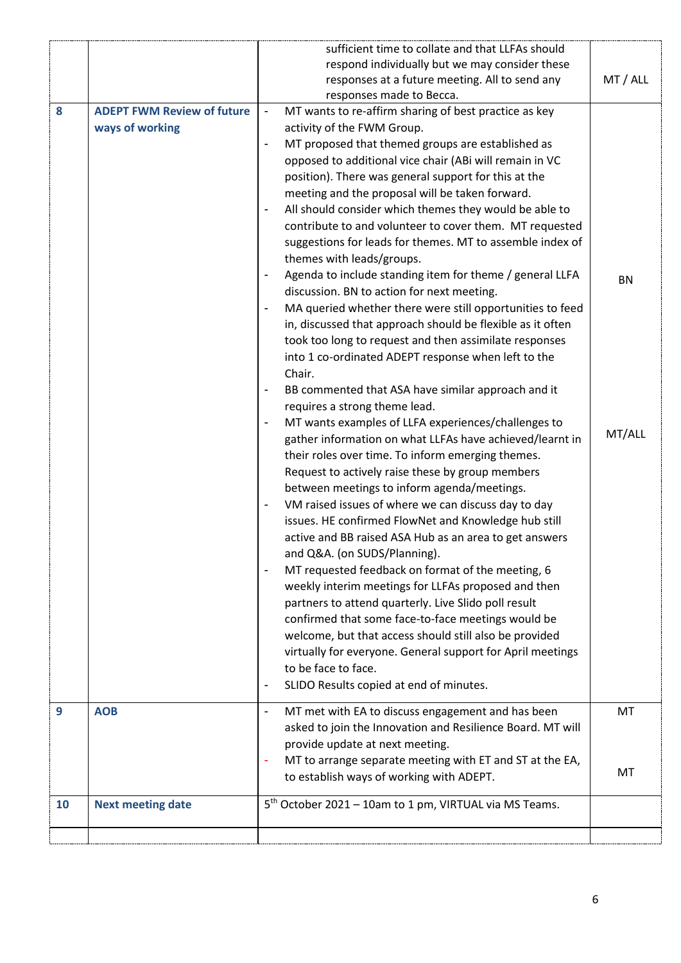|           |                                   | sufficient time to collate and that LLFAs should                                     |           |
|-----------|-----------------------------------|--------------------------------------------------------------------------------------|-----------|
|           |                                   | respond individually but we may consider these                                       |           |
|           |                                   | responses at a future meeting. All to send any                                       | MT / ALL  |
|           |                                   | responses made to Becca.                                                             |           |
| 8         | <b>ADEPT FWM Review of future</b> | MT wants to re-affirm sharing of best practice as key<br>$\overline{\phantom{a}}$    |           |
|           | ways of working                   | activity of the FWM Group.                                                           |           |
|           |                                   | MT proposed that themed groups are established as<br>$\overline{\phantom{a}}$        |           |
|           |                                   | opposed to additional vice chair (ABi will remain in VC                              |           |
|           |                                   | position). There was general support for this at the                                 |           |
|           |                                   | meeting and the proposal will be taken forward.                                      |           |
|           |                                   | All should consider which themes they would be able to<br>$\overline{\phantom{a}}$   |           |
|           |                                   | contribute to and volunteer to cover them. MT requested                              |           |
|           |                                   | suggestions for leads for themes. MT to assemble index of                            |           |
|           |                                   | themes with leads/groups.                                                            |           |
|           |                                   | Agenda to include standing item for theme / general LLFA<br>$\overline{\phantom{a}}$ | <b>BN</b> |
|           |                                   | discussion. BN to action for next meeting.                                           |           |
|           |                                   | MA queried whether there were still opportunities to feed                            |           |
|           |                                   | in, discussed that approach should be flexible as it often                           |           |
|           |                                   | took too long to request and then assimilate responses                               |           |
|           |                                   | into 1 co-ordinated ADEPT response when left to the                                  |           |
|           |                                   | Chair.                                                                               |           |
|           |                                   | BB commented that ASA have similar approach and it                                   |           |
|           |                                   | requires a strong theme lead.                                                        |           |
|           |                                   | MT wants examples of LLFA experiences/challenges to<br>$\overline{\phantom{a}}$      | MT/ALL    |
|           |                                   | gather information on what LLFAs have achieved/learnt in                             |           |
|           |                                   | their roles over time. To inform emerging themes.                                    |           |
|           |                                   | Request to actively raise these by group members                                     |           |
|           |                                   | between meetings to inform agenda/meetings.                                          |           |
|           |                                   | VM raised issues of where we can discuss day to day                                  |           |
|           |                                   | issues. HE confirmed FlowNet and Knowledge hub still                                 |           |
|           |                                   | active and BB raised ASA Hub as an area to get answers                               |           |
|           |                                   | and Q&A. (on SUDS/Planning).                                                         |           |
|           |                                   | MT requested feedback on format of the meeting, 6<br>$\overline{\phantom{a}}$        |           |
|           |                                   | weekly interim meetings for LLFAs proposed and then                                  |           |
|           |                                   | partners to attend quarterly. Live Slido poll result                                 |           |
|           |                                   | confirmed that some face-to-face meetings would be                                   |           |
|           |                                   | welcome, but that access should still also be provided                               |           |
|           |                                   | virtually for everyone. General support for April meetings                           |           |
|           |                                   | to be face to face.                                                                  |           |
|           |                                   | SLIDO Results copied at end of minutes.<br>$\overline{\phantom{a}}$                  |           |
| 9         | <b>AOB</b>                        | MT met with EA to discuss engagement and has been<br>$\overline{\phantom{a}}$        | <b>MT</b> |
|           |                                   | asked to join the Innovation and Resilience Board. MT will                           |           |
|           |                                   | provide update at next meeting.                                                      |           |
|           |                                   | MT to arrange separate meeting with ET and ST at the EA,<br>٠                        |           |
|           |                                   | to establish ways of working with ADEPT.                                             | MT        |
|           |                                   |                                                                                      |           |
| <b>10</b> | <b>Next meeting date</b>          | 5 <sup>th</sup> October 2021 - 10am to 1 pm, VIRTUAL via MS Teams.                   |           |
|           |                                   |                                                                                      |           |
|           |                                   |                                                                                      |           |